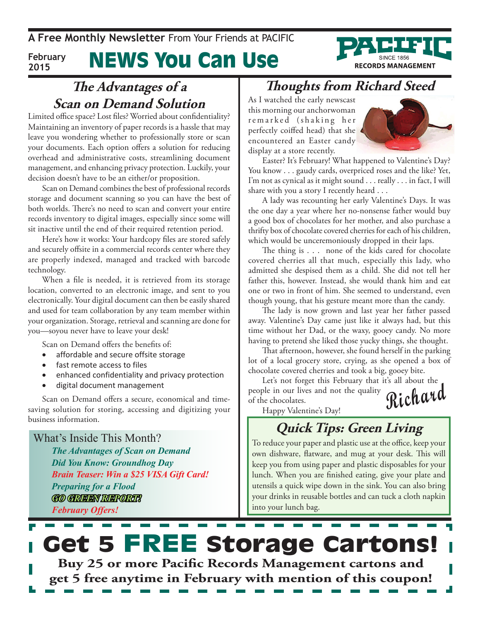**A Free Monthly Newsletter** From Your Friends at Pacific

#### News You Can Use **February 2015**



Limited office space? Lost files? Worried about confidentiality? Maintaining an inventory of paper records is a hassle that may leave you wondering whether to professionally store or scan your documents. Each option offers a solution for reducing overhead and administrative costs, streamlining document management, and enhancing privacy protection. Luckily, your decision doesn't have to be an either/or proposition.

Scan on Demand combines the best of professional records storage and document scanning so you can have the best of both worlds. There's no need to scan and convert your entire records inventory to digital images, especially since some will sit inactive until the end of their required retention period.

Here's how it works: Your hardcopy files are stored safely and securely offsite in a commercial records center where they are properly indexed, managed and tracked with barcode technology.

When a file is needed, it is retrieved from its storage location, converted to an electronic image, and sent to you electronically. Your digital document can then be easily shared and used for team collaboration by any team member within your organization. Storage, retrieval and scanning are done for you—soyou never have to leave your desk!

Scan on Demand offers the benefits of:

- affordable and secure offsite storage
- fast remote access to files
- enhanced confidentiality and privacy protection
- digital document management

Scan on Demand offers a secure, economical and timesaving solution for storing, accessing and digitizing your business information.

What's Inside This Month?

*The Advantages of Scan on Demand Did You Know: Groundhog Day Brain Teaser: Win a \$25 VISA Gift Card! Preparing for a Flood GO GREEN REPORT! February Offers!*

#### **Thoughts from Richard Steed**

As I watched the early newscast this morning our anchorwoman remarked (shaking her perfectly coiffed head) that she encountered an Easter candy display at a store recently.



**RECORDS MANAGEMENT** 

Easter? It's February! What happened to Valentine's Day? You know . . . gaudy cards, overpriced roses and the like? Yet, I'm not as cynical as it might sound . . . really . . . in fact, I will share with you a story I recently heard . . .

A lady was recounting her early Valentine's Days. It was the one day a year where her no-nonsense father would buy a good box of chocolates for her mother, and also purchase a thrifty box of chocolate covered cherries for each of his children, which would be unceremoniously dropped in their laps.

The thing is . . . none of the kids cared for chocolate covered cherries all that much, especially this lady, who admitted she despised them as a child. She did not tell her father this, however. Instead, she would thank him and eat one or two in front of him. She seemed to understand, even though young, that his gesture meant more than the candy.

The lady is now grown and last year her father passed away. Valentine's Day came just like it always had, but this time without her Dad, or the waxy, gooey candy. No more having to pretend she liked those yucky things, she thought.

That afternoon, however, she found herself in the parking lot of a local grocery store, crying, as she opened a box of chocolate covered cherries and took a big, gooey bite.

**Richard** Let's not forget this February that it's all about the people in our lives and not the quality of the chocolates.

Happy Valentine's Day!

#### **Quick Tips: Green Living**

To reduce your paper and plastic use at the office, keep your own dishware, flatware, and mug at your desk. This will keep you from using paper and plastic disposables for your lunch. When you are finished eating, give your plate and utensils a quick wipe down in the sink. You can also bring your drinks in reusable bottles and can tuck a cloth napkin into your lunch bag.

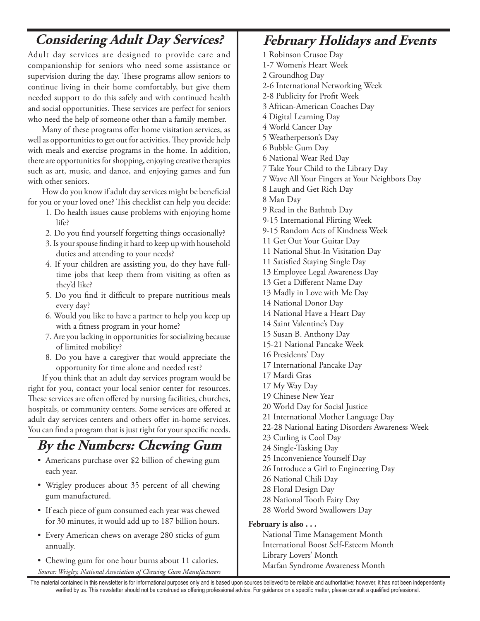#### **Considering Adult Day Services?** February Holidays and Events

Adult day services are designed to provide care and companionship for seniors who need some assistance or supervision during the day. These programs allow seniors to continue living in their home comfortably, but give them needed support to do this safely and with continued health and social opportunities. These services are perfect for seniors who need the help of someone other than a family member.

Many of these programs offer home visitation services, as well as opportunities to get out for activities. They provide help with meals and exercise programs in the home. In addition, there are opportunities for shopping, enjoying creative therapies such as art, music, and dance, and enjoying games and fun with other seniors.

How do you know if adult day services might be beneficial for you or your loved one? This checklist can help you decide:

- 1. Do health issues cause problems with enjoying home life?
- 2. Do you find yourself forgetting things occasionally?
- 3. Is your spouse finding it hard to keep up with household duties and attending to your needs?
- 4. If your children are assisting you, do they have fulltime jobs that keep them from visiting as often as they'd like?
- 5. Do you find it difficult to prepare nutritious meals every day?
- 6. Would you like to have a partner to help you keep up with a fitness program in your home?
- 7. Are you lacking in opportunities for socializing because of limited mobility?
- 8. Do you have a caregiver that would appreciate the opportunity for time alone and needed rest?

If you think that an adult day services program would be right for you, contact your local senior center for resources. These services are often offered by nursing facilities, churches, hospitals, or community centers. Some services are offered at adult day services centers and others offer in-home services. You can find a program that is just right for your specific needs.

#### **By the Numbers: Chewing Gum**

- Americans purchase over \$2 billion of chewing gum each year.
- Wrigley produces about 35 percent of all chewing gum manufactured.
- If each piece of gum consumed each year was chewed for 30 minutes, it would add up to 187 billion hours.
- Every American chews on average 280 sticks of gum annually.
- Chewing gum for one hour burns about 11 calories. *Source: Wrigley, National Association of Chewing Gum Manufacturers*

1 Robinson Crusoe Day 1-7 Women's Heart Week 2 Groundhog Day 2-6 International Networking Week 2-8 Publicity for Profit Week 3 African-American Coaches Day 4 Digital Learning Day 4 World Cancer Day 5 Weatherperson's Day 6 Bubble Gum Day 6 National Wear Red Day 7 Take Your Child to the Library Day 7 Wave All Your Fingers at Your Neighbors Day 8 Laugh and Get Rich Day 8 Man Day 9 Read in the Bathtub Day 9-15 International Flirting Week 9-15 Random Acts of Kindness Week 11 Get Out Your Guitar Day 11 National Shut-In Visitation Day 11 Satisfied Staying Single Day 13 Employee Legal Awareness Day 13 Get a Different Name Day 13 Madly in Love with Me Day 14 National Donor Day 14 National Have a Heart Day 14 Saint Valentine's Day 15 Susan B. Anthony Day 15-21 National Pancake Week 16 Presidents' Day 17 International Pancake Day 17 Mardi Gras 17 My Way Day 19 Chinese New Year 20 World Day for Social Justice 21 International Mother Language Day 22-28 National Eating Disorders Awareness Week 23 Curling is Cool Day 24 Single-Tasking Day 25 Inconvenience Yourself Day 26 Introduce a Girl to Engineering Day 26 National Chili Day 28 Floral Design Day 28 National Tooth Fairy Day 28 World Sword Swallowers Day **February is also . . .**  National Time Management Month International Boost Self-Esteem Month

Library Lovers' Month

Marfan Syndrome Awareness Month

The material contained in this newsletter is for informational purposes only and is based upon sources believed to be reliable and authoritative; however, it has not been independently verified by us. This newsletter should not be construed as offering professional advice. For guidance on a specific matter, please consult a qualified professional.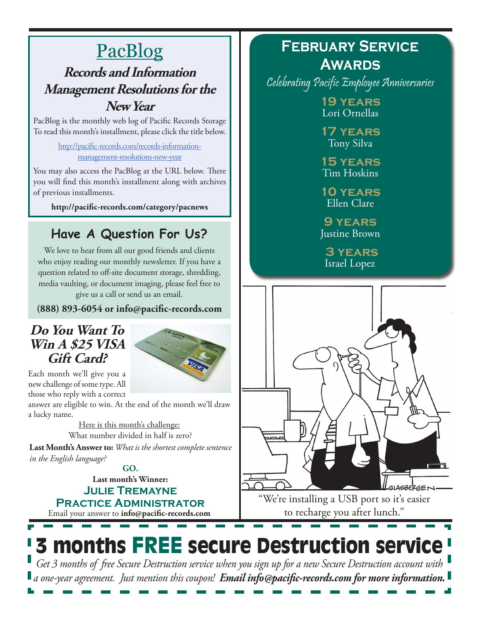### **PacBlog Records and Information Management Resolutions for the**

#### **New Year**

PacBlog is the monthly web log of Pacific Records Storage To read this month's installment, please click the title below.

> http://pacific-records.com/records-informationmanagement-resolutions-new-year

You may also access the PacBlog at the URL below. There you will find this month's installment along with archives of previous installments.

**http://pacific-records.com/category/pacnews**

#### **Have A Question For Us?**

We love to hear from all our good friends and clients who enjoy reading our monthly newsletter. If you have a question related to off-site document storage, shredding, media vaulting, or document imaging, please feel free to give us a call or send us an email.

**(888) 893-6054 or info@pacific-records.com**

#### **Do You Want To Win A \$25 VISA Gift Card?**



Each month we'll give you a new challenge of some type. All those who reply with a correct

answer are eligible to win. At the end of the month we'll draw a lucky name.

> Here is this month's challenge: What number divided in half is zero?

**Last Month's Answer to:** *What is the shortest complete sentence in the English language?*

> **Last month's Winner: Julie Tremayne GO.**

Email your answer to **info@pacific-records.com Practice Administrator**

#### **February Service Awards**

Celebrating Pacific Employee Anniversaries

**19 years** Lori Ornellas

**17 years** Tony Silva

**15 years** Tim Hoskins

**10 years** Ellen Clare

**9 years** Justine Brown

 **3 years** Israel Lopez



"We're installing a USB port so it's easier to recharge you after lunch."

# 3 months FREE secure Destruction service

*Get 3 months of free Secure Destruction service when you sign up for a new Secure Destruction account with a one-year agreement. Just mention this coupon! Email info@pacific-records.com for more information.*